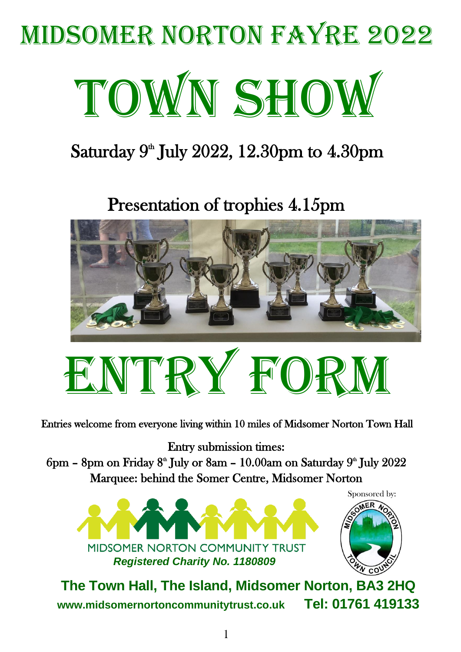# Midsomer Norton Fayre 2022 TOWN SHOW

# Saturday 9<sup>th</sup> July 2022, 12.30pm to 4.30pm

# Presentation of trophies 4.15pm





Entries welcome from everyone living within 10 miles of Midsomer Norton Town Hall

Entry submission times:

 $6pm - 8pm$  on Friday  $8^{\text{th}}$  July or  $8am - 10.00am$  on Saturday  $9^{\text{th}}$  July  $2022$ Marquee: behind the Somer Centre, Midsomer Norton





**The Town Hall, The Island, Midsomer Norton, BA3 2HQ www.midsomernortoncommunitytrust.co.uk Tel: 01761 419133**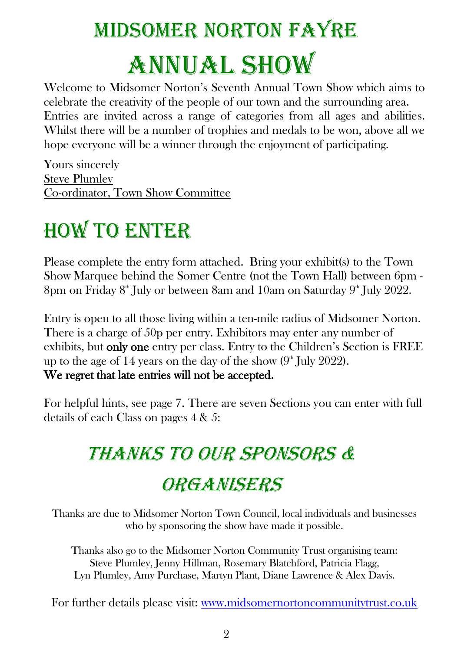# Midsomer Norton Fayre Annual Show

Welcome to Midsomer Norton's Seventh Annual Town Show which aims to celebrate the creativity of the people of our town and the surrounding area. Entries are invited across a range of categories from all ages and abilities. Whilst there will be a number of trophies and medals to be won, above all we hope everyone will be a winner through the enjoyment of participating.

Yours sincerely Steve Plumley Co-ordinator, Town Show Committee

# **HOW TO ENTER**

Please complete the entry form attached. Bring your exhibit(s) to the Town Show Marquee behind the Somer Centre (not the Town Hall) between 6pm - 8pm on Friday 8<sup>th</sup> July or between 8am and 10am on Saturday 9<sup>th</sup> July 2022.

Entry is open to all those living within a ten-mile radius of Midsomer Norton. There is a charge of 50p per entry. Exhibitors may enter any number of exhibits, but only one entry per class. Entry to the Children's Section is FREE up to the age of 14 years on the day of the show  $(9<sup>th</sup>$  July 2022).

We regret that late entries will not be accepted.

For helpful hints, see page 7. There are seven Sections you can enter with full details of each Class on pages 4 & 5:

# Thanks to OUR SPONSORS & **ORGANISERS**

Thanks are due to Midsomer Norton Town Council, local individuals and businesses who by sponsoring the show have made it possible.

Thanks also go to the Midsomer Norton Community Trust organising team: Steve Plumley, Jenny Hillman, Rosemary Blatchford, Patricia Flagg, Lyn Plumley, Amy Purchase, Martyn Plant, Diane Lawrence & Alex Davis.

For further details please visit: [www.midsomernortoncommunitytrust.co.uk](http://www.midsomernortoncommunitytrust.co.uk/)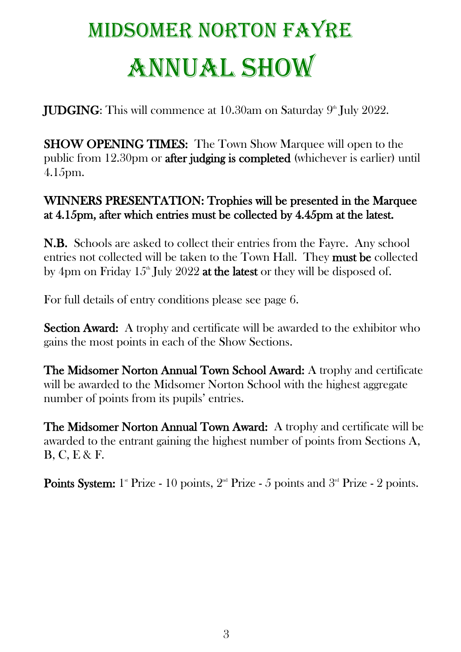# Midsomer Norton Fayre **ANNUAL SHOW**

 ${\bf JUDGING:}$  This will commence at  $10.30{\rm am}$  on  ${\rm Saturday}~9^{\rm \tiny th}$  July  $2022.$ 

SHOW OPENING TIMES: The Town Show Marquee will open to the public from 12.30pm or after judging is completed (whichever is earlier) until 4.15pm.

#### WINNERS PRESENTATION: Trophies will be presented in the Marquee at 4.15pm, after which entries must be collected by 4.45pm at the latest.

N.B. Schools are asked to collect their entries from the Fayre. Any school entries not collected will be taken to the Town Hall. They must be collected by 4pm on Friday  $15^{\circ}$  July 2022 at the latest or they will be disposed of.

For full details of entry conditions please see page 6.

Section Award: A trophy and certificate will be awarded to the exhibitor who gains the most points in each of the Show Sections.

The Midsomer Norton Annual Town School Award: A trophy and certificate will be awarded to the Midsomer Norton School with the highest aggregate number of points from its pupils' entries.

The Midsomer Norton Annual Town Award: A trophy and certificate will be awarded to the entrant gaining the highest number of points from Sections A, B, C, E & F.

**Points System:** 1<sup>st</sup> Prize - 10 points,  $2^{nd}$  Prize - 5 points and  $3^{rd}$  Prize - 2 points.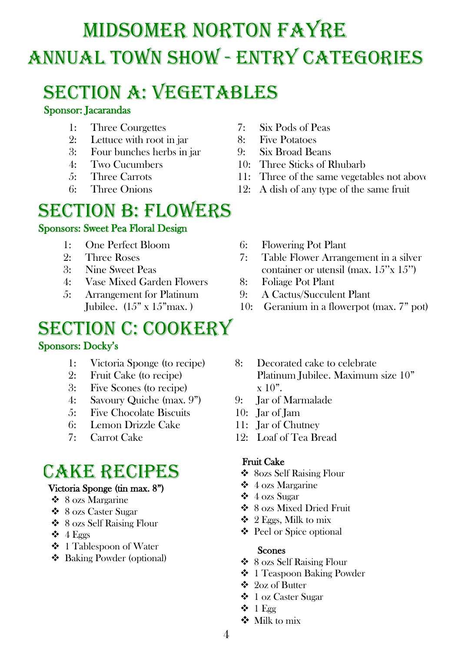# Midsomer Norton Fayre Annual town show - entry categories

# SECTION A: VEGETABLES

#### Sponsor: Jacarandas

- 1: Three Courgettes
- 2: Lettuce with root in jar
- 3: Four bunches herbs in jar
- 4: Two Cucumbers
- 5: Three Carrots
- 6: Three Onions

### Section B: FLOWERS

#### Sponsors: Sweet Pea Floral Design

- 1: One Perfect Bloom
- 2: Three Roses
- 3: Nine Sweet Peas
- 4: Vase Mixed Garden Flowers
- 5: Arrangement for Platinum Jubilee.  $(15" \times 15"$ max.)

### SECTION C: COOKERY

#### Sponsors: Docky's

- 1: Victoria Sponge (to recipe)
- 2: Fruit Cake (to recipe)
- 3: Five Scones (to recipe)
- 4: Savoury Quiche (max. 9")
- 5: Five Chocolate Biscuits
- 6: Lemon Drizzle Cake
- 7: Carrot Cake

### **CAKE RECIPES**

#### Victoria Sponge (tin max. 8")

- ❖ 8 ozs Margarine
- ❖ 8 ozs Caster Sugar
- ❖ 8 ozs Self Raising Flour
- $\div$  4 Eggs
- ❖ 1 Tablespoon of Water
- ❖ Baking Powder (optional)
- 7: Six Pods of Peas
- 8: Five Potatoes
- 9: Six Broad Beans
- 10: Three Sticks of Rhubarb
- 11: Three of the same vegetables not above
- 12: A dish of any type of the same fruit
- 6: Flowering Pot Plant
- 7: Table Flower Arrangement in a silver container or utensil (max.  $15''x 15''$ )
- 8: Foliage Pot Plant
- 9: A Cactus/Succulent Plant
- 10: Geranium in a flowerpot (max. 7" pot)
- 8: Decorated cake to celebrate Platinum Jubilee. Maximum size 10"  $x 10"$ .
- 9: Jar of Marmalade
- 10: Jar of Jam
- 11: Jar of Chutney
- 12: Loaf of Tea Bread

#### Fruit Cake

- ❖ 8ozs Self Raising Flour
- ❖ 4 ozs Margarine
- ❖ 4 ozs Sugar
- ❖ 8 ozs Mixed Dried Fruit
- $\div$  2 Eggs, Milk to mix
- ❖ Peel or Spice optional

#### Scones

- ❖ 8 ozs Self Raising Flour
- ❖ 1 Teaspoon Baking Powder
- ❖ 2oz of Butter
- ❖ 1 oz Caster Sugar
- ❖ 1 Egg
- ❖ Milk to mix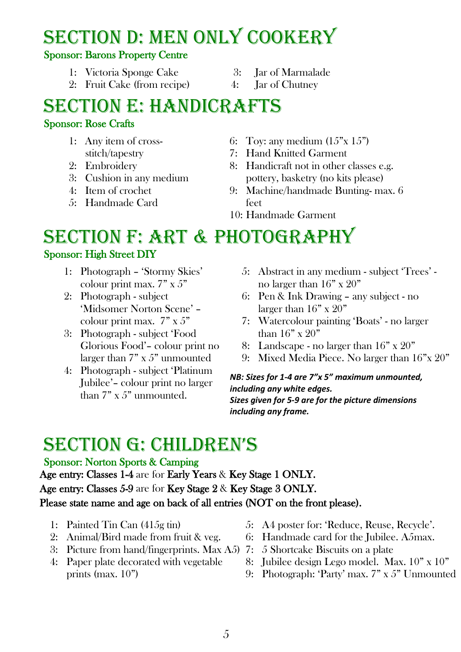### section D: MEN only COOKERY

- Sponsor: Barons Property Centre
	- 1: Victoria Sponge Cake
		-
- 4: Jar of Chutney
	- 2: Fruit Cake (from recipe)

# Section E: HANDICRAFTS

#### Sponsor: Rose Crafts

- 1: Any item of crossstitch/tapestry
- 2: Embroidery
- 3: Cushion in any medium
- 4: Item of crochet
- 5: Handmade Card
- 6: Toy: any medium  $(15" \text{x} 15")$
- 7: Hand Knitted Garment
- 8: Handicraft not in other classes e.g. pottery, basketry (no kits please)
- 9: Machine/handmade Bunting- max. 6 feet
- 10: Handmade Garment

# section f: art & photography

#### Sponsor: High Street DIY

- 1: Photograph 'Stormy Skies' colour print max. 7" x 5"
- 2: Photograph subject 'Midsomer Norton Scene' – colour print max. 7" x 5"
- 3: Photograph subject 'Food Glorious Food'– colour print no larger than 7" x 5" unmounted
- 4: Photograph subject 'Platinum Jubilee'– colour print no larger than 7" x 5" unmounted.
- 5: Abstract in any medium subject 'Trees' no larger than 16" x 20"
- 6: Pen & Ink Drawing any subject no larger than  $16"$  x  $20"$
- 7: Watercolour painting 'Boats' no larger than 16" x 20"
- 8: Landscape no larger than 16" x 20"
- 9: Mixed Media Piece. No larger than 16"x 20"

#### *NB: Sizes for 1-4 are 7"x 5" maximum unmounted, including any white edges. Sizes given for 5-9 are for the picture dimensions including any frame.*

# Section g: children's

#### Sponsor: Norton Sports & Camping

Age entry: Classes 1-4 are for Early Years & Key Stage 1 ONLY. Age entry: Classes 5-9 are for Key Stage 2 & Key Stage 3 ONLY. Please state name and age on back of all entries (NOT on the front please).

- 1: Painted Tin Can (415g tin)
- 2: Animal/Bird made from fruit & veg.
- 3: Picture from hand/fingerprints. Max A5) 7: 5 Shortcake Biscuits on a plate
- 4: Paper plate decorated with vegetable prints (max. 10")
- 5: A4 poster for: 'Reduce, Reuse, Recycle'.
- 6: Handmade card for the Jubilee. A5max.
- 
- 8: Jubilee design Lego model. Max. 10" x 10"
- 9: Photograph: 'Party' max. 7" x 5" Unmounted

3: Jar of Marmalade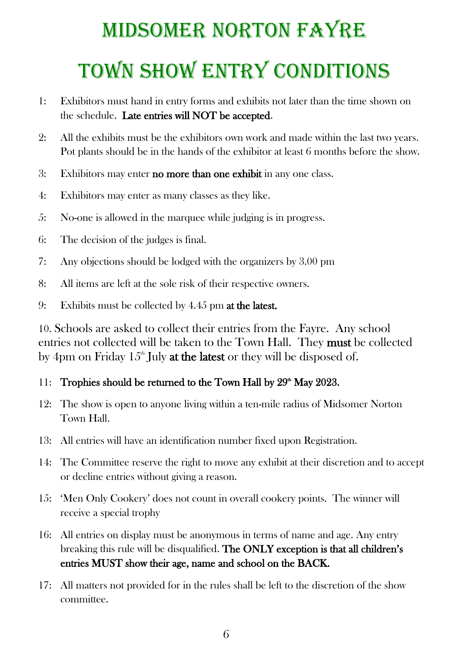# Midsomer Norton Fayre Town Show Entry conditions

- 1: Exhibitors must hand in entry forms and exhibits not later than the time shown on the schedule. Late entries will NOT be accepted.
- 2: All the exhibits must be the exhibitors own work and made within the last two years. Pot plants should be in the hands of the exhibitor at least 6 months before the show.
- 3: Exhibitors may enter no more than one exhibit in any one class.
- 4: Exhibitors may enter as many classes as they like.
- 5: No-one is allowed in the marquee while judging is in progress.
- 6: The decision of the judges is final.
- 7: Any objections should be lodged with the organizers by 3.00 pm
- 8: All items are left at the sole risk of their respective owners.
- 9: Exhibits must be collected by 4.45 pm at the latest.

10. Schools are asked to collect their entries from the Fayre. Any school entries not collected will be taken to the Town Hall. They must be collected by 4pm on Friday  $15^{\text{th}}$  July at the latest or they will be disposed of.

#### 11: Trophies should be returned to the Town Hall by  $29<sup>th</sup>$  May 2023.

- 12: The show is open to anyone living within a ten-mile radius of Midsomer Norton Town Hall.
- 13: All entries will have an identification number fixed upon Registration.
- 14: The Committee reserve the right to move any exhibit at their discretion and to accept or decline entries without giving a reason.
- 15: 'Men Only Cookery' does not count in overall cookery points. The winner will receive a special trophy
- 16: All entries on display must be anonymous in terms of name and age. Any entry breaking this rule will be disqualified. The ONLY exception is that all children's entries MUST show their age, name and school on the BACK.
- 17: All matters not provided for in the rules shall be left to the discretion of the show committee.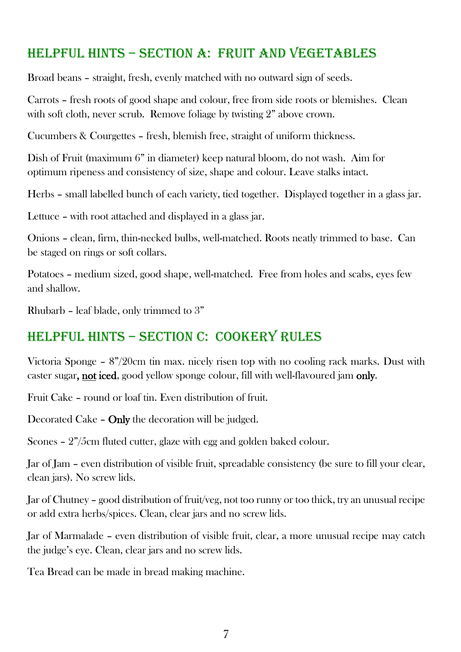#### HELPFUL HINTS – SECTION A: FRUIT AND VEGETABLES

Broad beans – straight, fresh, evenly matched with no outward sign of seeds.

Carrots – fresh roots of good shape and colour, free from side roots or blemishes. Clean with soft cloth, never scrub. Remove foliage by twisting 2" above crown.

Cucumbers & Courgettes – fresh, blemish free, straight of uniform thickness.

Dish of Fruit (maximum 6" in diameter) keep natural bloom, do not wash. Aim for optimum ripeness and consistency of size, shape and colour. Leave stalks intact.

Herbs – small labelled bunch of each variety, tied together. Displayed together in a glass jar.

Lettuce – with root attached and displayed in a glass jar.

Onions – clean, firm, thin-necked bulbs, well-matched. Roots neatly trimmed to base. Can be staged on rings or soft collars.

Potatoes – medium sized, good shape, well-matched. Free from holes and scabs, eyes few and shallow.

Rhubarb – leaf blade, only trimmed to 3"

#### HELPFUL HINTS – SECTION C: COOKERY rules

Victoria Sponge – 8"/20cm tin max. nicely risen top with no cooling rack marks. Dust with caster sugar, not iced, good yellow sponge colour, fill with well-flavoured jam only.

Fruit Cake – round or loaf tin. Even distribution of fruit.

Decorated Cake – Only the decoration will be judged.

Scones – 2"/5cm fluted cutter, glaze with egg and golden baked colour.

Jar of Jam – even distribution of visible fruit, spreadable consistency (be sure to fill your clear, clean jars). No screw lids.

Jar of Chutney – good distribution of fruit/veg, not too runny or too thick, try an unusual recipe or add extra herbs/spices. Clean, clear jars and no screw lids.

Jar of Marmalade – even distribution of visible fruit, clear, a more unusual recipe may catch the judge's eye. Clean, clear jars and no screw lids.

Tea Bread can be made in bread making machine.